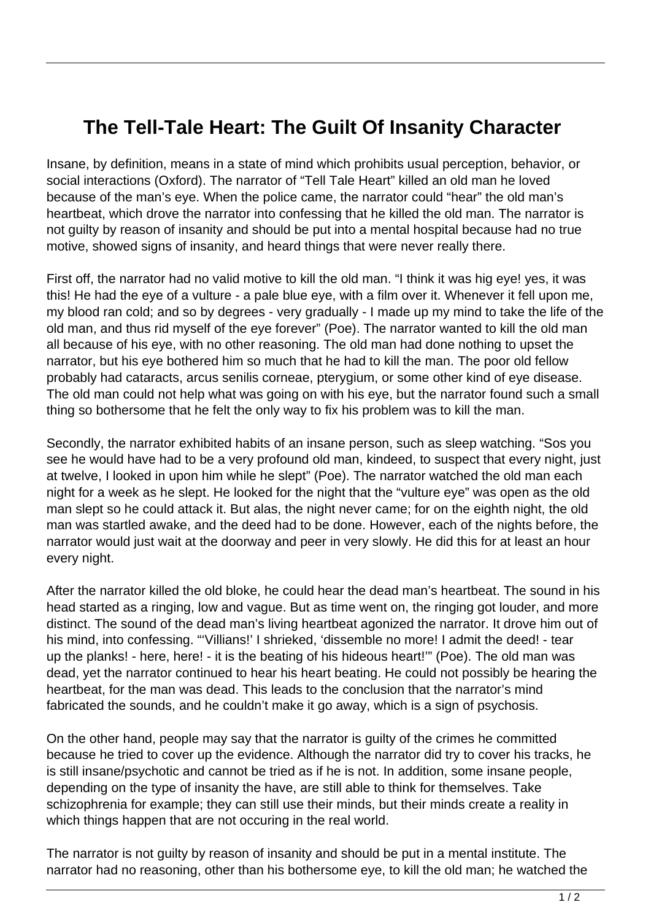## **The Tell-Tale Heart: The Guilt Of Insanity Character**

Insane, by definition, means in a state of mind which prohibits usual perception, behavior, or social interactions (Oxford). The narrator of "Tell Tale Heart" killed an old man he loved because of the man's eye. When the police came, the narrator could "hear" the old man's heartbeat, which drove the narrator into confessing that he killed the old man. The narrator is not guilty by reason of insanity and should be put into a mental hospital because had no true motive, showed signs of insanity, and heard things that were never really there.

First off, the narrator had no valid motive to kill the old man. "I think it was hig eye! yes, it was this! He had the eye of a vulture - a pale blue eye, with a film over it. Whenever it fell upon me, my blood ran cold; and so by degrees - very gradually - I made up my mind to take the life of the old man, and thus rid myself of the eye forever" (Poe). The narrator wanted to kill the old man all because of his eye, with no other reasoning. The old man had done nothing to upset the narrator, but his eye bothered him so much that he had to kill the man. The poor old fellow probably had cataracts, arcus senilis corneae, pterygium, or some other kind of eye disease. The old man could not help what was going on with his eye, but the narrator found such a small thing so bothersome that he felt the only way to fix his problem was to kill the man.

Secondly, the narrator exhibited habits of an insane person, such as sleep watching. "Sos you see he would have had to be a very profound old man, kindeed, to suspect that every night, just at twelve, I looked in upon him while he slept" (Poe). The narrator watched the old man each night for a week as he slept. He looked for the night that the "vulture eye" was open as the old man slept so he could attack it. But alas, the night never came; for on the eighth night, the old man was startled awake, and the deed had to be done. However, each of the nights before, the narrator would just wait at the doorway and peer in very slowly. He did this for at least an hour every night.

After the narrator killed the old bloke, he could hear the dead man's heartbeat. The sound in his head started as a ringing, low and vague. But as time went on, the ringing got louder, and more distinct. The sound of the dead man's living heartbeat agonized the narrator. It drove him out of his mind, into confessing. "'Villians!' I shrieked, 'dissemble no more! I admit the deed! - tear up the planks! - here, here! - it is the beating of his hideous heart!"" (Poe). The old man was dead, yet the narrator continued to hear his heart beating. He could not possibly be hearing the heartbeat, for the man was dead. This leads to the conclusion that the narrator's mind fabricated the sounds, and he couldn't make it go away, which is a sign of psychosis.

On the other hand, people may say that the narrator is guilty of the crimes he committed because he tried to cover up the evidence. Although the narrator did try to cover his tracks, he is still insane/psychotic and cannot be tried as if he is not. In addition, some insane people, depending on the type of insanity the have, are still able to think for themselves. Take schizophrenia for example; they can still use their minds, but their minds create a reality in which things happen that are not occuring in the real world.

The narrator is not guilty by reason of insanity and should be put in a mental institute. The narrator had no reasoning, other than his bothersome eye, to kill the old man; he watched the